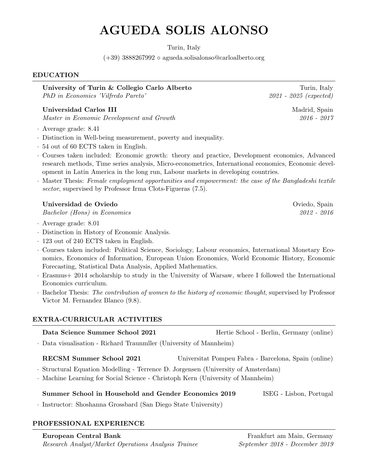# AGUEDA SOLIS ALONSO

Turin, Italy

 $(+39)$  3888267992  $\diamond$  agueda.solisalonso@carloalberto.org

### EDUCATION

University of Turin & Collegio Carlo Alberto Turin, Italy PhD in Economics 'Vilfredo Pareto' 2021 - 2025 (expected)

# Universidad Carlos III and the settlement of the Madrid, Spain Madrid, Spain

Master in Economic Development and Growth 2016 - 2017

- · Average grade: 8.41
- · Distinction in Well-being measurement, poverty and inequality.
- · 54 out of 60 ECTS taken in English.
- · Courses taken included: Economic growth: theory and practice, Development economics, Advanced research methods, Time series analysis, Micro-econometrics, International economics, Economic development in Latin America in the long run, Labour markets in developing countries.
- · Master Thesis: Female employment opportunities and empowerment: the case of the Bangladeshi textile sector, supervised by Professor Irma Clots-Figueras  $(7.5)$ .

# Universidad de Oviedo **Oviedo** Oviedo, Spain **Oviedo**, Spain **Oviedo**, Spain **Oviedo**, Spain **Oviedo**, Spain **Oviedo**

Bachelor (Hons) in Economics 2012 - 2016

- · Average grade: 8.01
- · Distinction in History of Economic Analysis.
- · 123 out of 240 ECTS taken in English.
- · Courses taken included: Political Science, Sociology, Labour economics, International Monetary Economics, Economics of Information, European Union Economics, World Economic History, Economic Forecasting, Statistical Data Analysis, Applied Mathematics.
- · Erasmus+ 2014 scholarship to study in the University of Warsaw, where I followed the International Economics curriculum.
- · Bachelor Thesis: The contribution of women to the history of economic thought, supervised by Professor Victor M. Fernandez Blanco (9.8).

# EXTRA-CURRICULAR ACTIVITIES

| Data Science Summer School 2021                                                                                                                                       | Hertie School - Berlin, Germany (online) |  |
|-----------------------------------------------------------------------------------------------------------------------------------------------------------------------|------------------------------------------|--|
| . Data visualisation - Richard Traunmiller (University of Mannheim)                                                                                                   |                                          |  |
| RECSM Summer School 2021<br>Universitat Pompeu Fabra - Barcelona, Spain (online)<br>. Structural Equation Modelling - Terrence D. Jorgensen (University of Amsterdam) |                                          |  |
| · Machine Learning for Social Science - Christoph Kern (University of Mannheim)                                                                                       |                                          |  |
| Summer School in Household and Gender Economics 2019<br>ISEG - Lisbon, Portugal<br>· Instructor: Shoshanna Grossbard (San Diego State University)                     |                                          |  |

## PROFESSIONAL EXPERIENCE